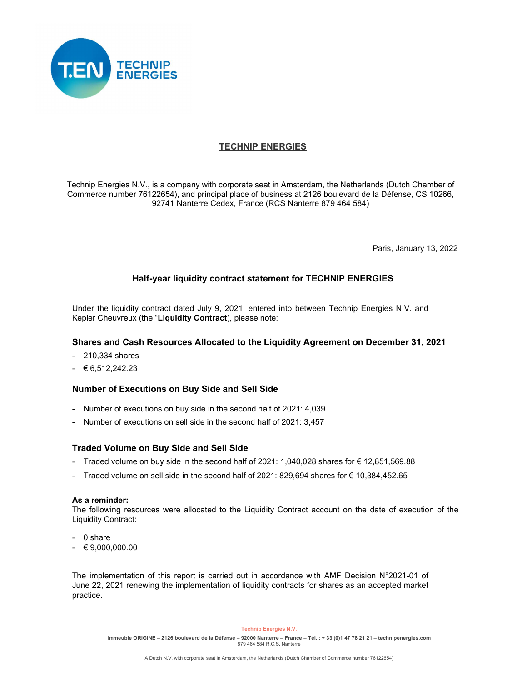

# TECHNIP ENERGIES

Technip Energies N.V., is a company with corporate seat in Amsterdam, the Netherlands (Dutch Chamber of Commerce number 76122654), and principal place of business at 2126 boulevard de la Défense, CS 10266, 92741 Nanterre Cedex, France (RCS Nanterre 879 464 584) TECHNIP ENERGIES<br>
echnip Energies N.V., is a company with corporate seat in Amsterdam, the Nether<br>
ommerce number 76122654), and principal place of business at 2126 boulevard do<br>
92741 Nanterre Cedex, France (RCS Nanterre TECHNIP ENERGIES<br>
echnip Energies N.V., is a company with corporate seat in Amsterdam, the Nether<br>
commerce number 76122654), and principal place of business at 2126 boulevard<br>
92741 Nanterre Cedex, France (RCS Nanterre 8 echnip Energies N.V., is a company with corporate seat in Amsterdam, the Netherlands (Dutch Chamber or number 76122654), and principal place of business at 2126 boulevard de la Défense, CS 10266,<br>92741 Nanterre Cedex, Fran

Paris, January 13, 2022

# Half-year liquidity contract statement for TECHNIP ENERGIES

Under the liquidity contract dated July 9, 2021, entered into between Technip Energies N.V. and Kepler Cheuvreux (the "Liquidity Contract), please note: Sigmant Control of Executions on sell side in the second half of 2021: 1,040,028 shares for 6 12,651,569.88<br>
Marier of executions on sell side in the second half of 2021.<br>
The second of the second half of 2021, entered int Faris, January 13, 2022<br>
Half-year liquidity contract statement for TECHNIP ENERGIES<br>
Under the liquidity contract dated July 9, 2021, entered into between Technip Energies N.V. and<br>
Kepler Cheuvreux (the "Liquidity Cont

## Shares and Cash Resources Allocated to the Liquidity Agreement on December 31, 2021

- 
- 

## Number of Executions on Buy Side and Sell Side

- 
- 

## Traded Volume on Buy Side and Sell Side

- 
- 

#### As a reminder:

**Half-year liquidity contract statement for TECHNIP ENERGIES**<br>
Under the liquidity contract dated July 9, 2021, entered into between Technip Energies N.V. and<br>
Kepler Cheuvreux (the "Liquidity Contract), please note:<br>
Sh The following resources were allocated to the Liquidity Contract account on the date of execution of the Liquidity Contract:

- 
- 

Kepler Cheuvreux (the "Liquidity Contract), please note:<br>
Shares and Cash Resources Allocated to the Liquidity Agreement on<br>
- 210,334 shares<br>
- 6,512,242.23<br>
Number of Executions on Buy Side and Sell Side<br>
- Number of ex Shares and Cash Resources Allocated to the Liquidity Agreement on<br>
- 210,334 shares<br>
-  $\epsilon$  6,512,242.23<br>
Number of Executions on Buy Side and Sell Side<br>
- Number of executions on buy side in the second half of 2021: 4,03 The implementation of this report is carried out in accordance with AMF Decision N°2021-01 of June 22, 2021 renewing the implementation of liquidity contracts for shares as an accepted market practice.

#### Technip Energies N.V.

Immeuble ORIGINE – 2126 boulevard de la Défense – 92000 Nanterre – France – Tél. : + 33 (0)1 47 78 21 21 – technipenergies.com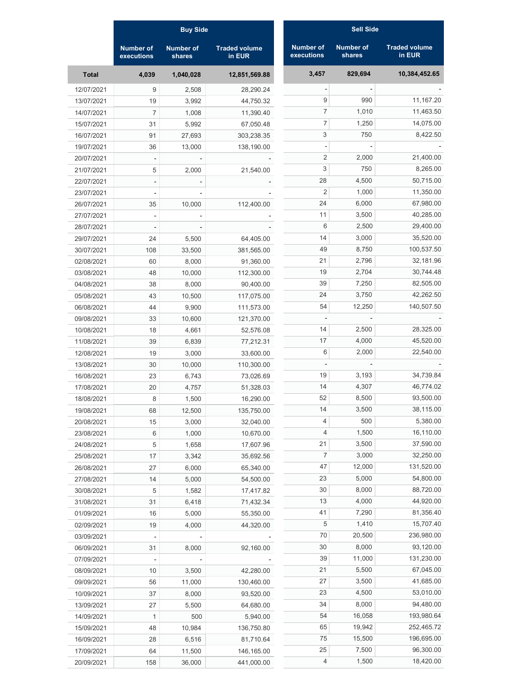|              | <b>Buy Side</b>                |                            |                                | <b>Sell Side</b>               |                            |                                |  |
|--------------|--------------------------------|----------------------------|--------------------------------|--------------------------------|----------------------------|--------------------------------|--|
|              | <b>Number of</b><br>executions | <b>Number of</b><br>shares | <b>Traded volume</b><br>in EUR | <b>Number of</b><br>executions | <b>Number of</b><br>shares | <b>Traded volume</b><br>in EUR |  |
| <b>Total</b> | 4,039                          | 1,040,028                  | 12,851,569.88                  | 3,457                          | 829,694                    | 10,384,452.65                  |  |
| 12/07/2021   | 9                              | 2,508                      | 28,290.24                      |                                |                            |                                |  |
| 13/07/2021   | 19                             | 3,992                      | 44,750.32                      | $9\,$                          | 990                        | 11,167.20                      |  |
| 14/07/2021   | 7                              | 1,008                      | 11,390.40                      | $\overline{7}$                 | 1,010                      | 11,463.50                      |  |
| 15/07/2021   | 31                             | 5,992                      | 67,050.48                      | $\overline{7}$                 | 1,250                      | 14,075.00                      |  |
| 16/07/2021   | 91                             | 27,693                     | 303,238.35                     | 3                              | 750                        | 8,422.50                       |  |
| 19/07/2021   | 36                             | 13,000                     | 138,190.00                     |                                |                            |                                |  |
| 20/07/2021   |                                |                            |                                | $\overline{2}$                 | 2,000                      | 21,400.00                      |  |
| 21/07/2021   | 5                              | 2,000                      | 21,540.00                      | 3                              | 750                        | 8,265.00                       |  |
| 22/07/2021   |                                |                            |                                | 28                             | 4,500                      | 50,715.00                      |  |
| 23/07/2021   |                                |                            |                                | $\overline{2}$                 | 1,000                      | 11,350.00                      |  |
| 26/07/2021   | 35                             | 10,000                     | 112,400.00                     | 24                             | 6,000                      | 67,980.00                      |  |
| 27/07/2021   |                                |                            |                                | 11                             | 3,500                      | 40,285.00                      |  |
| 28/07/2021   |                                |                            |                                | 6                              | 2,500                      | 29,400.00                      |  |
| 29/07/2021   | 24                             | 5,500                      | 64,405.00                      | 14                             | 3,000                      | 35,520.00                      |  |
| 30/07/2021   | 108                            | 33,500                     | 381,565.00                     | 49                             | 8,750                      | 100,537.50                     |  |
| 02/08/2021   | 60                             | 8,000                      | 91,360.00                      | 21                             | 2,796                      | 32,181.96                      |  |
| 03/08/2021   | 48                             | 10,000                     | 112,300.00                     | 19                             | 2,704                      | 30,744.48                      |  |
| 04/08/2021   | 38                             | 8,000                      | 90,400.00                      | 39                             | 7,250                      | 82,505.00                      |  |
| 05/08/2021   | 43                             | 10,500                     | 117,075.00                     | 24                             | 3,750                      | 42,262.50                      |  |
| 06/08/2021   | 44                             | 9,900                      | 111,573.00                     | 54                             | 12,250                     | 140,507.50                     |  |
| 09/08/2021   | 33                             | 10,600                     | 121,370.00                     |                                |                            |                                |  |
| 10/08/2021   | 18                             | 4,661                      | 52,576.08                      | 14                             | 2,500                      | 28,325.00                      |  |
| 11/08/2021   | 39                             | 6,839                      | 77,212.31                      | 17                             | 4,000                      | 45,520.00                      |  |
| 12/08/2021   | 19                             | 3,000                      | 33,600.00                      | 6                              | 2,000                      | 22,540.00                      |  |
| 13/08/2021   | 30                             | 10,000                     | 110,300.00                     |                                |                            |                                |  |
| 16/08/2021   | 23                             | 6,743                      | 73,026.69                      | 19                             | 3,193                      | 34,739.84                      |  |
| 17/08/2021   | 20                             | 4,757                      | 51,328.03                      | 14                             | 4,307                      | 46,774.02                      |  |
| 18/08/2021   | 8                              | 1,500                      | 16,290.00                      | 52                             | 8,500                      | 93,500.00                      |  |
| 19/08/2021   | 68                             | 12,500                     | 135,750.00                     | 14                             | 3,500                      | 38,115.00                      |  |
| 20/08/2021   | 15                             | 3,000                      | 32,040.00                      | 4                              | 500                        | 5,380.00                       |  |
| 23/08/2021   | 6                              | 1,000                      | 10,670.00                      | 4                              | 1,500                      | 16,110.00                      |  |
| 24/08/2021   | 5                              | 1,658                      | 17,607.96                      | 21                             | 3,500                      | 37,590.00                      |  |
| 25/08/2021   | 17                             | 3,342                      | 35,692.56                      | $\overline{7}$                 | 3,000                      | 32,250.00                      |  |
| 26/08/2021   | 27                             | 6,000                      | 65,340.00                      | 47                             | 12,000                     | 131,520.00                     |  |
| 27/08/2021   | 14                             | 5,000                      | 54,500.00                      | 23                             | 5,000                      | 54,800.00                      |  |
| 30/08/2021   | $\sqrt{5}$                     | 1,582                      | 17,417.82                      | 30                             | 8,000                      | 88,720.00                      |  |
| 31/08/2021   | 31                             | 6,418                      | 71,432.34                      | 13                             | 4,000                      | 44,920.00                      |  |
| 01/09/2021   | 16                             | 5,000                      | 55,350.00                      | 41                             | 7,290                      | 81,356.40                      |  |
| 02/09/2021   | 19                             | 4,000                      | 44,320.00                      | 5                              | 1,410                      | 15,707.40                      |  |
| 03/09/2021   |                                |                            |                                | 70                             | 20,500                     | 236,980.00                     |  |
| 06/09/2021   | 31                             | 8,000                      | 92,160.00                      | 30                             | 8,000                      | 93,120.00                      |  |
| 07/09/2021   |                                |                            |                                | 39                             | 11,000                     | 131,230.00                     |  |
| 08/09/2021   | 10                             | 3,500                      | 42,280.00                      | 21                             | 5,500                      | 67,045.00                      |  |
| 09/09/2021   | 56                             | 11,000                     | 130,460.00                     | 27                             | 3,500                      | 41,685.00                      |  |
| 10/09/2021   | 37                             | 8,000                      | 93,520.00                      | 23                             | 4,500                      | 53,010.00                      |  |
|              |                                |                            |                                | 34                             | 8,000                      | 94,480.00                      |  |
| 13/09/2021   | 27                             | 5,500                      | 64,680.00                      | 54                             | 16,058                     | 193,980.64                     |  |
| 14/09/2021   | $\mathbf{1}$                   | 500                        | 5,940.00                       | 65                             | 19,942                     | 252,465.72                     |  |
| 15/09/2021   | 48                             | 10,984                     | 136,750.80                     | 75                             | 15,500                     | 196,695.00                     |  |
| 16/09/2021   | 28                             | 6,516                      | 81,710.64                      | 25                             | 7,500                      | 96,300.00                      |  |
| 17/09/2021   | 64                             | 11,500                     | 146,165.00                     | $\overline{4}$                 | 1,500                      | 18,420.00                      |  |
| 20/09/2021   | 158                            | 36,000                     | 441,000.00                     |                                |                            |                                |  |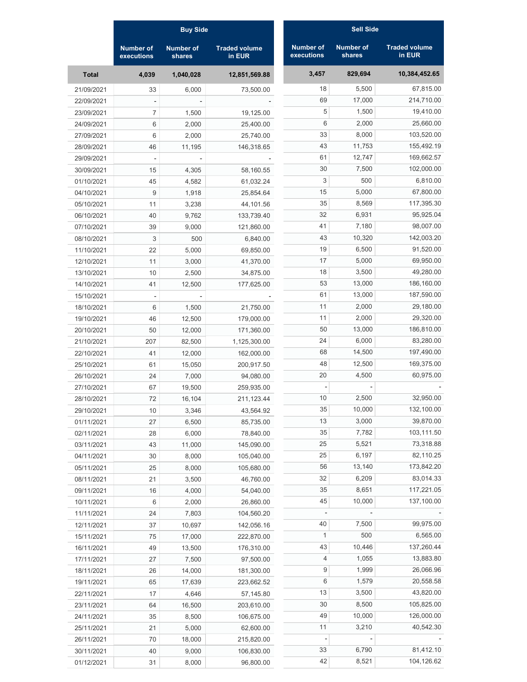|              | <b>Buy Side</b>                |                            |                                | <b>Sell Side</b>               |                            |                                |  |
|--------------|--------------------------------|----------------------------|--------------------------------|--------------------------------|----------------------------|--------------------------------|--|
|              | <b>Number of</b><br>executions | <b>Number of</b><br>shares | <b>Traded volume</b><br>in EUR | <b>Number of</b><br>executions | <b>Number of</b><br>shares | <b>Traded volume</b><br>in EUR |  |
| <b>Total</b> | 4,039                          | 1,040,028                  | 12,851,569.88                  | 3,457                          | 829,694                    | 10,384,452.65                  |  |
| 21/09/2021   | 33                             | 6,000                      | 73,500.00                      | 18                             | 5,500                      | 67,815.00                      |  |
| 22/09/2021   |                                |                            |                                | 69                             | 17,000                     | 214,710.00                     |  |
| 23/09/2021   | $\overline{7}$                 | 1,500                      | 19,125.00                      | 5                              | 1,500                      | 19,410.00                      |  |
| 24/09/2021   | 6                              | 2,000                      | 25,400.00                      | 6                              | 2,000                      | 25,660.00                      |  |
| 27/09/2021   | 6                              | 2,000                      | 25,740.00                      | 33                             | 8,000                      | 103,520.00                     |  |
| 28/09/2021   | 46                             | 11,195                     | 146,318.65                     | 43                             | 11,753                     | 155,492.19                     |  |
| 29/09/2021   |                                |                            |                                | 61                             | 12,747                     | 169,662.57                     |  |
| 30/09/2021   | 15                             | 4,305                      | 58,160.55                      | 30                             | 7,500                      | 102,000.00                     |  |
| 01/10/2021   | 45                             | 4,582                      | 61,032.24                      | 3                              | 500                        | 6,810.00                       |  |
| 04/10/2021   | 9                              | 1,918                      | 25,854.64                      | 15                             | 5,000                      | 67,800.00                      |  |
| 05/10/2021   | 11                             | 3,238                      | 44,101.56                      | 35                             | 8,569                      | 117,395.30                     |  |
| 06/10/2021   | 40                             | 9,762                      | 133,739.40                     | 32                             | 6,931                      | 95,925.04                      |  |
| 07/10/2021   | 39                             | 9,000                      | 121,860.00                     | 41                             | 7,180                      | 98,007.00                      |  |
| 08/10/2021   | 3                              | 500                        | 6,840.00                       | 43                             | 10,320                     | 142,003.20                     |  |
| 11/10/2021   | 22                             | 5,000                      | 69,850.00                      | 19                             | 6,500                      | 91,520.00                      |  |
| 12/10/2021   | 11                             | 3,000                      | 41,370.00                      | 17                             | 5,000                      | 69,950.00                      |  |
| 13/10/2021   | 10                             | 2,500                      | 34,875.00                      | 18                             | 3,500                      | 49,280.00                      |  |
| 14/10/2021   | 41                             | 12,500                     | 177,625.00                     | 53                             | 13,000                     | 186,160.00                     |  |
| 15/10/2021   |                                |                            |                                | 61                             | 13,000                     | 187,590.00                     |  |
| 18/10/2021   | 6                              | 1,500                      | 21,750.00                      | 11                             | 2,000                      | 29,180.00                      |  |
| 19/10/2021   | 46                             | 12,500                     | 179,000.00                     | 11                             | 2,000                      | 29,320.00                      |  |
| 20/10/2021   | 50                             | 12,000                     | 171,360.00                     | 50                             | 13,000                     | 186,810.00                     |  |
| 21/10/2021   | 207                            | 82,500                     | 1,125,300.00                   | 24                             | 6,000                      | 83,280.00                      |  |
| 22/10/2021   | 41                             | 12,000                     | 162,000.00                     | 68                             | 14,500                     | 197,490.00                     |  |
| 25/10/2021   | 61                             | 15,050                     | 200,917.50                     | 48                             | 12,500                     | 169,375.00                     |  |
| 26/10/2021   | 24                             | 7,000                      | 94,080.00                      | 20                             | 4,500                      | 60,975.00                      |  |
| 27/10/2021   | 67                             | 19,500                     | 259,935.00                     |                                |                            |                                |  |
| 28/10/2021   | 72                             | 16,104                     | 211,123.44                     | 10                             | 2,500                      | 32,950.00                      |  |
| 29/10/2021   | 10                             | 3,346                      | 43,564.92                      | 35                             | 10,000                     | 132,100.00                     |  |
| 01/11/2021   | 27                             | 6,500                      | 85,735.00                      | 13                             | 3,000                      | 39,870.00                      |  |
| 02/11/2021   | 28                             | 6,000                      | 78,840.00                      | 35                             | 7,782                      | 103,111.50                     |  |
| 03/11/2021   | 43                             | 11,000                     | 145,090.00                     | 25                             | 5,521                      | 73,318.88                      |  |
| 04/11/2021   | 30                             | 8,000                      | 105,040.00                     | 25                             | 6,197                      | 82,110.25                      |  |
| 05/11/2021   | 25                             | 8,000                      | 105,680.00                     | 56                             | 13,140                     | 173,842.20                     |  |
| 08/11/2021   | 21                             | 3,500                      | 46,760.00                      | 32                             | 6,209                      | 83,014.33                      |  |
| 09/11/2021   | 16                             | 4,000                      | 54,040.00                      | 35                             | 8,651                      | 117,221.05                     |  |
| 10/11/2021   | 6                              | 2,000                      | 26,860.00                      | 45                             | 10,000                     | 137,100.00                     |  |
| 11/11/2021   | 24                             | 7,803                      | 104,560.20                     |                                |                            |                                |  |
| 12/11/2021   | 37                             | 10,697                     | 142,056.16                     | 40                             | 7,500                      | 99,975.00                      |  |
|              | 75                             |                            |                                | $\mathbf{1}$                   | 500                        | 6,565.00                       |  |
| 15/11/2021   | 49                             | 17,000                     | 222,870.00                     | 43                             | 10,446                     | 137,260.44                     |  |
| 16/11/2021   |                                | 13,500                     | 176,310.00                     | 4                              | 1,055                      | 13,883.80                      |  |
| 17/11/2021   | 27                             | 7,500                      | 97,500.00                      | 9                              | 1,999                      | 26,066.96                      |  |
| 18/11/2021   | 26                             | 14,000                     | 181,300.00                     | 6                              | 1,579                      | 20,558.58                      |  |
| 19/11/2021   | 65                             | 17,639                     | 223,662.52                     | 13                             | 3,500                      | 43,820.00                      |  |
| 22/11/2021   | 17                             | 4,646                      | 57,145.80                      |                                |                            |                                |  |
| 23/11/2021   | 64                             | 16,500                     | 203,610.00                     | 30                             | 8,500                      | 105,825.00                     |  |
| 24/11/2021   | 35                             | 8,500                      | 106,675.00                     | 49                             | 10,000                     | 126,000.00                     |  |
| 25/11/2021   | 21                             | 5,000                      | 62,600.00                      | 11                             | 3,210                      | 40,542.30                      |  |
| 26/11/2021   | 70                             | 18,000                     | 215,820.00                     |                                |                            |                                |  |
| 30/11/2021   | 40                             | 9,000                      | 106,830.00                     | 33                             | 6,790                      | 81,412.10                      |  |
| 01/12/2021   | 31                             | 8,000                      | 96,800.00                      | 42                             | 8,521                      | 104,126.62                     |  |